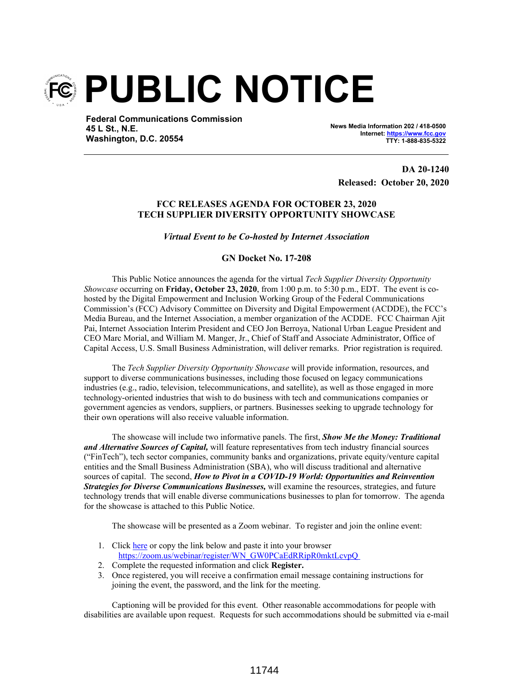

**Federal Communications Commission 45 L St., N.E. Washington, D.C. 20554**

**News Media Information 202 / 418-0500 Internet: https://www.fcc.gov TTY: 1-888-835-5322**

**DA 20-1240 Released: October 20, 2020**

### **FCC RELEASES AGENDA FOR OCTOBER 23, 2020 TECH SUPPLIER DIVERSITY OPPORTUNITY SHOWCASE**

*Virtual Event to be Co-hosted by Internet Association*

### **GN Docket No. 17-208**

This Public Notice announces the agenda for the virtual *Tech Supplier Diversity Opportunity Showcase* occurring on **Friday, October 23, 2020**, from 1:00 p.m. to 5:30 p.m., EDT. The event is cohosted by the Digital Empowerment and Inclusion Working Group of the Federal Communications Commission's (FCC) Advisory Committee on Diversity and Digital Empowerment (ACDDE), the FCC's Media Bureau, and the Internet Association, a member organization of the ACDDE. FCC Chairman Ajit Pai, Internet Association Interim President and CEO Jon Berroya, National Urban League President and CEO Marc Morial, and William M. Manger, Jr., Chief of Staff and Associate Administrator, Office of Capital Access, U.S. Small Business Administration, will deliver remarks. Prior registration is required.

The *Tech Supplier Diversity Opportunity Showcase* will provide information, resources, and support to diverse communications businesses, including those focused on legacy communications industries (e.g., radio, television, telecommunications, and satellite), as well as those engaged in more technology-oriented industries that wish to do business with tech and communications companies or government agencies as vendors, suppliers, or partners. Businesses seeking to upgrade technology for their own operations will also receive valuable information.

The showcase will include two informative panels. The first, *Show Me the Money: Traditional and Alternative Sources of Capital,* will feature representatives from tech industry financial sources ("FinTech"), tech sector companies, community banks and organizations, private equity/venture capital entities and the Small Business Administration (SBA), who will discuss traditional and alternative sources of capital. The second, *How to Pivot in a COVID-19 World: Opportunities and Reinvention Strategies for Diverse Communications Businesses,* will examine the resources, strategies, and future technology trends that will enable diverse communications businesses to plan for tomorrow. The agenda for the showcase is attached to this Public Notice.

The showcase will be presented as a Zoom webinar. To register and join the online event:

- 1. Click here or copy the link below and paste it into your browser https://zoom.us/webinar/register/WN\_GW0PCaEdRRipR0mktLcvpQ
- 2. Complete the requested information and click **Register.**
- 3. Once registered, you will receive a confirmation email message containing instructions for joining the event, the password, and the link for the meeting.

Captioning will be provided for this event. Other reasonable accommodations for people with disabilities are available upon request. Requests for such accommodations should be submitted via e-mail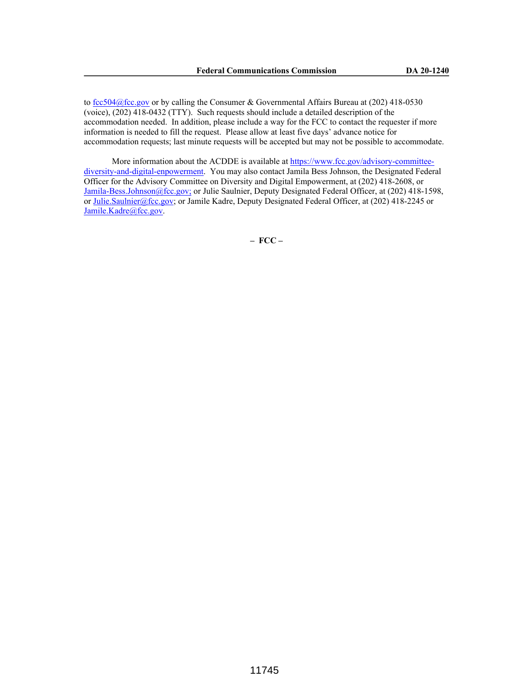to fcc504@fcc.gov or by calling the Consumer & Governmental Affairs Bureau at  $(202)$  418-0530 (voice), (202) 418-0432 (TTY). Such requests should include a detailed description of the accommodation needed. In addition, please include a way for the FCC to contact the requester if more information is needed to fill the request. Please allow at least five days' advance notice for accommodation requests; last minute requests will be accepted but may not be possible to accommodate.

More information about the ACDDE is available at https://www.fcc.gov/advisory-committeediversity-and-digital-enpowerment. You may also contact Jamila Bess Johnson, the Designated Federal Officer for the Advisory Committee on Diversity and Digital Empowerment, at (202) 418-2608, or Jamila-Bess.Johnson@fcc.gov; or Julie Saulnier, Deputy Designated Federal Officer, at (202) 418-1598, or Julie.Saulnier@fcc.gov; or Jamile Kadre, Deputy Designated Federal Officer, at (202) 418-2245 or Jamile.Kadre@fcc.gov.

**– FCC –**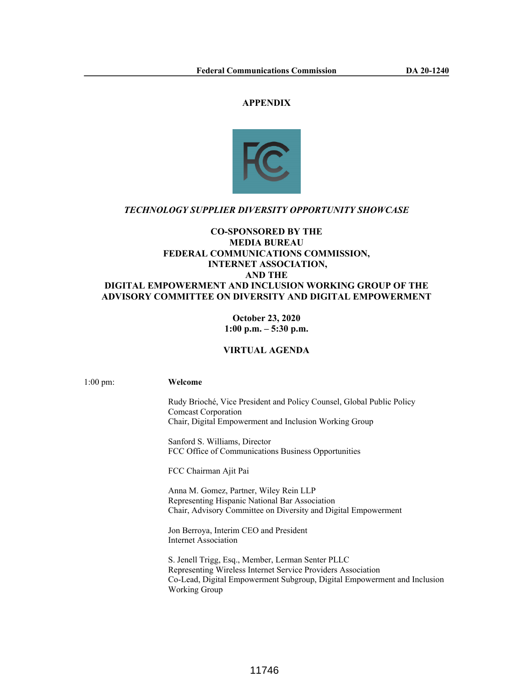## **APPENDIX**



## *TECHNOLOGY SUPPLIER DIVERSITY OPPORTUNITY SHOWCASE*

## **CO-SPONSORED BY THE MEDIA BUREAU FEDERAL COMMUNICATIONS COMMISSION, INTERNET ASSOCIATION, AND THE DIGITAL EMPOWERMENT AND INCLUSION WORKING GROUP OF THE ADVISORY COMMITTEE ON DIVERSITY AND DIGITAL EMPOWERMENT**

**October 23, 2020 1:00 p.m. – 5:30 p.m.**

# **VIRTUAL AGENDA**

1:00 pm: **Welcome** 

Rudy Brioché, Vice President and Policy Counsel, Global Public Policy Comcast Corporation Chair, Digital Empowerment and Inclusion Working Group

Sanford S. Williams, Director FCC Office of Communications Business Opportunities

FCC Chairman Ajit Pai

Anna M. Gomez, Partner, Wiley Rein LLP Representing Hispanic National Bar Association Chair, Advisory Committee on Diversity and Digital Empowerment

Jon Berroya, Interim CEO and President Internet Association

S. Jenell Trigg, Esq., Member, Lerman Senter PLLC Representing Wireless Internet Service Providers Association Co-Lead, Digital Empowerment Subgroup, Digital Empowerment and Inclusion Working Group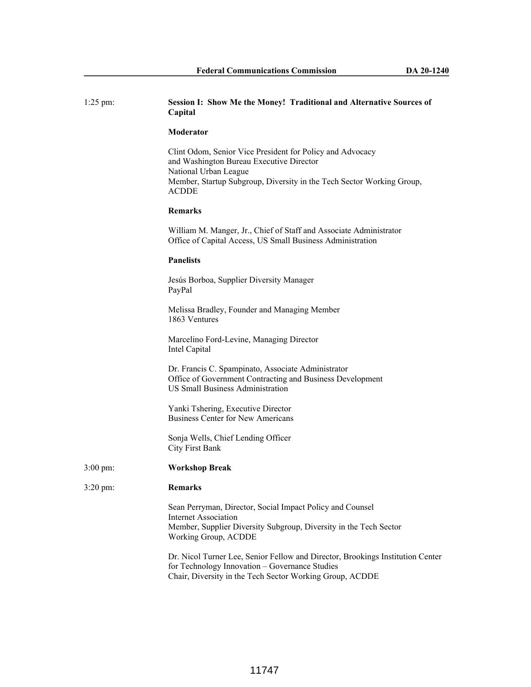| $1:25$ pm:          | Session I: Show Me the Money! Traditional and Alternative Sources of<br>Capital                                                                                                                                         |
|---------------------|-------------------------------------------------------------------------------------------------------------------------------------------------------------------------------------------------------------------------|
|                     | Moderator                                                                                                                                                                                                               |
|                     | Clint Odom, Senior Vice President for Policy and Advocacy<br>and Washington Bureau Executive Director<br>National Urban League<br>Member, Startup Subgroup, Diversity in the Tech Sector Working Group,<br><b>ACDDE</b> |
|                     | <b>Remarks</b>                                                                                                                                                                                                          |
|                     | William M. Manger, Jr., Chief of Staff and Associate Administrator<br>Office of Capital Access, US Small Business Administration                                                                                        |
|                     | <b>Panelists</b>                                                                                                                                                                                                        |
|                     | Jesús Borboa, Supplier Diversity Manager<br>PayPal                                                                                                                                                                      |
|                     | Melissa Bradley, Founder and Managing Member<br>1863 Ventures                                                                                                                                                           |
|                     | Marcelino Ford-Levine, Managing Director<br>Intel Capital                                                                                                                                                               |
|                     | Dr. Francis C. Spampinato, Associate Administrator<br>Office of Government Contracting and Business Development<br><b>US Small Business Administration</b>                                                              |
|                     | Yanki Tshering, Executive Director<br><b>Business Center for New Americans</b>                                                                                                                                          |
|                     | Sonja Wells, Chief Lending Officer<br><b>City First Bank</b>                                                                                                                                                            |
| $3:00 \text{ pm}$ : | <b>Workshop Break</b>                                                                                                                                                                                                   |
| 3:20 pm:            | Remarks                                                                                                                                                                                                                 |
|                     | Sean Perryman, Director, Social Impact Policy and Counsel<br><b>Internet Association</b><br>Member, Supplier Diversity Subgroup, Diversity in the Tech Sector<br>Working Group, ACDDE                                   |
|                     | Dr. Nicol Turner Lee, Senior Fellow and Director, Brookings Institution Center<br>for Technology Innovation - Governance Studies<br>Chair, Diversity in the Tech Sector Working Group, ACDDE                            |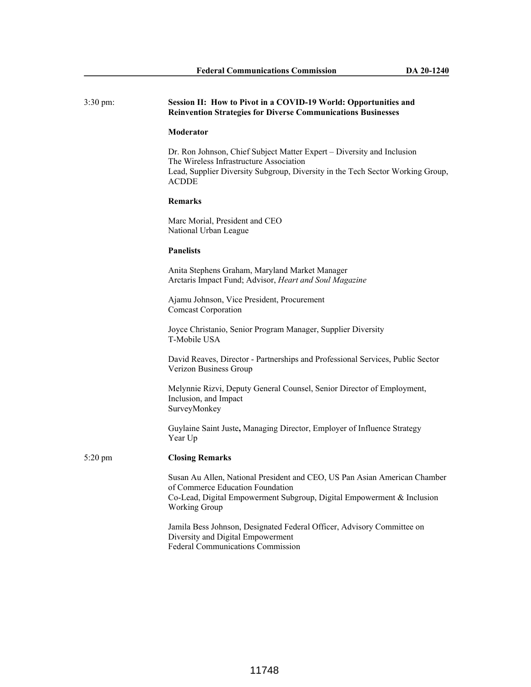| $3:30 \text{ pm}$ : | Session II: How to Pivot in a COVID-19 World: Opportunities and<br><b>Reinvention Strategies for Diverse Communications Businesses</b>                                                                              |
|---------------------|---------------------------------------------------------------------------------------------------------------------------------------------------------------------------------------------------------------------|
|                     | Moderator                                                                                                                                                                                                           |
|                     | Dr. Ron Johnson, Chief Subject Matter Expert – Diversity and Inclusion<br>The Wireless Infrastructure Association<br>Lead, Supplier Diversity Subgroup, Diversity in the Tech Sector Working Group,<br><b>ACDDE</b> |
|                     | <b>Remarks</b>                                                                                                                                                                                                      |
|                     | Marc Morial, President and CEO<br>National Urban League                                                                                                                                                             |
|                     | <b>Panelists</b>                                                                                                                                                                                                    |
|                     | Anita Stephens Graham, Maryland Market Manager<br>Arctaris Impact Fund; Advisor, Heart and Soul Magazine                                                                                                            |
|                     | Ajamu Johnson, Vice President, Procurement<br><b>Comcast Corporation</b>                                                                                                                                            |
|                     | Joyce Christanio, Senior Program Manager, Supplier Diversity<br>T-Mobile USA                                                                                                                                        |
|                     | David Reaves, Director - Partnerships and Professional Services, Public Sector<br>Verizon Business Group                                                                                                            |
|                     | Melynnie Rizvi, Deputy General Counsel, Senior Director of Employment,<br>Inclusion, and Impact<br>SurveyMonkey                                                                                                     |
|                     | Guylaine Saint Juste, Managing Director, Employer of Influence Strategy<br>Year Up                                                                                                                                  |
| $5:20$ pm           | <b>Closing Remarks</b>                                                                                                                                                                                              |
|                     | Susan Au Allen, National President and CEO, US Pan Asian American Chamber<br>of Commerce Education Foundation<br>Co-Lead, Digital Empowerment Subgroup, Digital Empowerment & Inclusion<br><b>Working Group</b>     |
|                     | Jamila Bess Johnson, Designated Federal Officer, Advisory Committee on<br>Diversity and Digital Empowerment<br><b>Federal Communications Commission</b>                                                             |